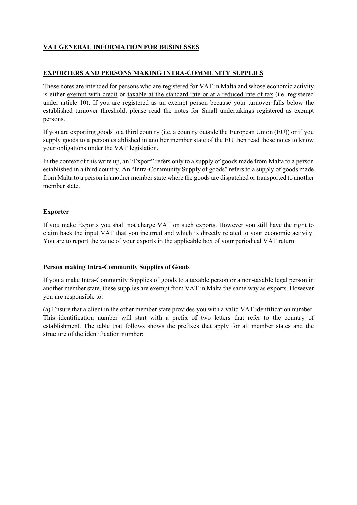# VAT GENERAL INFORMATION FOR BUSINESSES

# EXPORTERS AND PERSONS MAKING INTRA-COMMUNITY SUPPLIES

These notes are intended for persons who are registered for VAT in Malta and whose economic activity is either exempt with credit or taxable at the standard rate or at a reduced rate of tax (i.e. registered under article 10). If you are registered as an exempt person because your turnover falls below the established turnover threshold, please read the notes for Small undertakings registered as exempt persons.

If you are exporting goods to a third country (i.e. a country outside the European Union (EU)) or if you supply goods to a person established in another member state of the EU then read these notes to know your obligations under the VAT legislation.

In the context of this write up, an "Export" refers only to a supply of goods made from Malta to a person established in a third country. An "Intra-Community Supply of goods" refers to a supply of goods made from Malta to a person in another member state where the goods are dispatched or transported to another member state.

# Exporter

If you make Exports you shall not charge VAT on such exports. However you still have the right to claim back the input VAT that you incurred and which is directly related to your economic activity. You are to report the value of your exports in the applicable box of your periodical VAT return.

### Person making Intra-Community Supplies of Goods

If you a make Intra-Community Supplies of goods to a taxable person or a non-taxable legal person in another member state, these supplies are exempt from VAT in Malta the same way as exports. However you are responsible to:

(a) Ensure that a client in the other member state provides you with a valid VAT identification number. This identification number will start with a prefix of two letters that refer to the country of establishment. The table that follows shows the prefixes that apply for all member states and the structure of the identification number: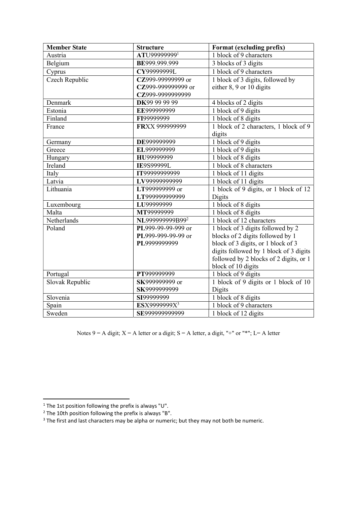| <b>Member State</b> | <b>Structure</b>            | Format (excluding prefix)              |
|---------------------|-----------------------------|----------------------------------------|
| Austria             | ATU999999991                | $\overline{1}$ block of 9 characters   |
| Belgium             | BE999.999.999               | 3 blocks of 3 digits                   |
| Cyprus              | CY99999999L                 | 1 block of 9 characters                |
| Czech Republic      | CZ999-99999999 or           | 1 block of 3 digits, followed by       |
|                     | CZ999-999999999 or          | either 8, 9 or 10 digits               |
|                     | CZ999-9999999999            |                                        |
| Denmark             | DK99 99 99 99               | 4 blocks of 2 digits                   |
| Estonia             | EE999999999                 | 1 block of 9 digits                    |
| Finland             | FI99999999                  | 1 block of 8 digits                    |
| France              | FRXX 999999999              | 1 block of 2 characters, 1 block of 9  |
|                     |                             | digits                                 |
| Germany             | DE999999999                 | 1 block of 9 digits                    |
| Greece              | EL999999999                 | 1 block of 9 digits                    |
| Hungary             | HU99999999                  | 1 block of 8 digits                    |
| Ireland             | <b>IE9S99999L</b>           | 1 block of 8 characters                |
| Italy               | IT99999999999               | 1 block of 11 digits                   |
| Latvia              | LV99999999999               | 1 block of 11 digits                   |
| Lithuania           | LT999999999 or              | 1 block of 9 digits, or 1 block of 12  |
|                     | LT999999999999              | Digits                                 |
| Luxembourg          | LU99999999                  | 1 block of 8 digits                    |
| Malta               | MT99999999                  | 1 block of 8 digits                    |
| Netherlands         | NL999999999B99 <sup>2</sup> | 1 block of 12 characters               |
| Poland              | PL999-99-99-999 or          | 1 block of 3 digits followed by 2      |
|                     | PL999-999-99-99 or          | blocks of 2 digits followed by 1       |
|                     | PL9999999999                | block of 3 digits, or 1 block of 3     |
|                     |                             | digits followed by 1 block of 3 digits |
|                     |                             | followed by 2 blocks of 2 digits, or 1 |
|                     |                             | block of 10 digits                     |
| Portugal            | PT999999999                 | 1 block of 9 digits                    |
| Slovak Republic     | SK999999999 or              | 1 block of 9 digits or 1 block of 10   |
|                     | SK9999999999                | Digits                                 |
| Slovenia            | SI99999999                  | $\overline{1}$ block of 8 digits       |
| Spain               | ESX9999999X <sup>3</sup>    | 1 block of 9 characters                |
| Sweden              | SE999999999999              | 1 block of 12 digits                   |

Notes 9 = A digit;  $X = A$  letter or a digit;  $S = A$  letter, a digit, "+" or "\*";  $L = A$  letter

<sup>&</sup>lt;sup>1</sup> The 1st position following the prefix is always "U".<br><sup>2</sup> The 10th position following the prefix is always "B".<br><sup>3</sup> The first and last characters may be alpha or numeric; but they may not both be numeric.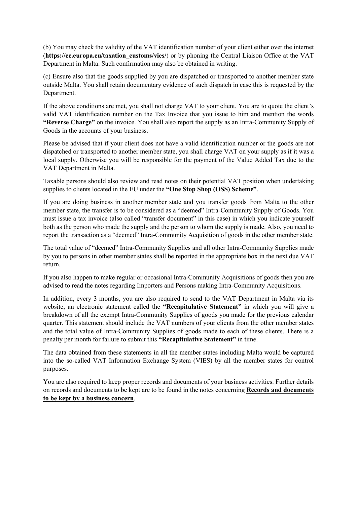(b) You may check the validity of the VAT identification number of your client either over the internet (https://ec.europa.eu/taxation\_customs/vies/) or by phoning the Central Liaison Office at the VAT Department in Malta. Such confirmation may also be obtained in writing.

(c) Ensure also that the goods supplied by you are dispatched or transported to another member state outside Malta. You shall retain documentary evidence of such dispatch in case this is requested by the Department.

If the above conditions are met, you shall not charge VAT to your client. You are to quote the client's valid VAT identification number on the Tax Invoice that you issue to him and mention the words "Reverse Charge" on the invoice. You shall also report the supply as an Intra-Community Supply of Goods in the accounts of your business.

Please be advised that if your client does not have a valid identification number or the goods are not dispatched or transported to another member state, you shall charge VAT on your supply as if it was a local supply. Otherwise you will be responsible for the payment of the Value Added Tax due to the VAT Department in Malta.

Taxable persons should also review and read notes on their potential VAT position when undertaking supplies to clients located in the EU under the "One Stop Shop (OSS) Scheme".

If you are doing business in another member state and you transfer goods from Malta to the other member state, the transfer is to be considered as a "deemed" Intra-Community Supply of Goods. You must issue a tax invoice (also called "transfer document" in this case) in which you indicate yourself both as the person who made the supply and the person to whom the supply is made. Also, you need to report the transaction as a "deemed" Intra-Community Acquisition of goods in the other member state.

The total value of "deemed" Intra-Community Supplies and all other Intra-Community Supplies made by you to persons in other member states shall be reported in the appropriate box in the next due VAT return.

If you also happen to make regular or occasional Intra-Community Acquisitions of goods then you are advised to read the notes regarding Importers and Persons making Intra-Community Acquisitions.

In addition, every 3 months, you are also required to send to the VAT Department in Malta via its website, an electronic statement called the "Recapitulative Statement" in which you will give a breakdown of all the exempt Intra-Community Supplies of goods you made for the previous calendar quarter. This statement should include the VAT numbers of your clients from the other member states and the total value of Intra-Community Supplies of goods made to each of these clients. There is a penalty per month for failure to submit this "Recapitulative Statement" in time.

The data obtained from these statements in all the member states including Malta would be captured into the so-called VAT Information Exchange System (VIES) by all the member states for control purposes.

You are also required to keep proper records and documents of your business activities. Further details on records and documents to be kept are to be found in the notes concerning Records and documents to be kept by a business concern.